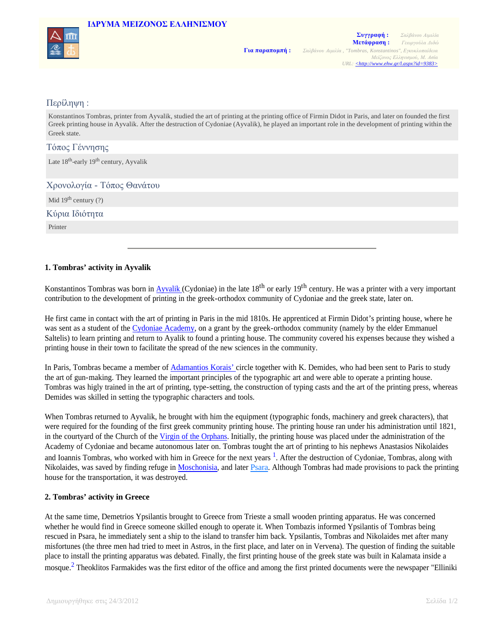## **IΔΡΥΜA ΜΕΙΖΟΝΟΣ ΕΛΛΗΝΙΣΜΟΥ**



# Περίληψη :

Konstantinos Tombras, printer from Ayvalik, studied the art of printing at the printing office of Firmin Didot in Paris, and later on founded the first Greek printing house in Ayvalik. After the destruction of Cydoniae (Ayvalik), he played an important role in the development of printing within the Greek state.

# Τόπος Γέννησης

Late 18<sup>th</sup>-early 19<sup>th</sup> century, Ayvalik

Χρονολογία - Τόπος Θανάτου

Mid  $19<sup>th</sup>$  century (?)

Κύρια Ιδιότητα

Printer

### **1. Tombras' activity in Ayvalik**

Konstantinos Tombras was born in Ayvalik (Cydoniae) in the late  $18<sup>th</sup>$  or early  $19<sup>th</sup>$  century. He was a printer with a very important contribution to the development of printing in the greek-orthodox community of Cydoniae and the greek state, later on.

He first came in contact with the art of printing in Paris in the mid 1810s. He apprenticed at Firmin Didot's printing house, where he was sent as a student of the Cydoniae Academy, on a grant by the greek-orthodox community (namely by the elder Emmanuel Saltelis) to learn printing and return to Ayalik to found a printing house. The community covered his expenses because they wished a printing house in their town to facilitate the spread of the new sciences in the community.

In Paris, Tombras became a member of Adamantios Korais' circle together with K. Demides, who had been sent to Paris to study the art of gun-making. They learned the important principles of the typographic art and were able to operate a printing house. Tombras was higly trained in the art of printing, type-setting, the construction of typing casts and the art of the printing press, whereas Demides was skilled in setting the typographic characters and tools.

When Tombras returned to Ayvalik, he brought with him the equipment (typographic fonds, machinery and greek characters), that were required for the founding of the first greek community printing house. The printing house ran under his administration until 1821, in the courtyard of the Church of the Virgin of the Orphans. Initially, the printing house was placed under the administration of the Academy of Cydoniae and became autonomous later on. Tombras tought the art of printing to his nephews Anastasios Nikolaides and Ioannis Tombras, who worked with him in Greece for the next years <sup>1</sup>. After the destruction of Cydoniae, Tombras, along with Nikolaides, was saved by finding refuge in Moschonisia, and later Psara. Although Tombras had made provisions to pack the printing house for the transportation, it was destroyed.

### **2. Tombras' activity in Greece**

At the same time, Demetrios Ypsilantis brought to Greece from Trieste a small wooden printing apparatus. He was concerned whether he would find in Greece someone skilled enough to operate it. When Tombazis informed Ypsilantis of Tombras being rescued in Psara, he immediately sent a ship to the island to transfer him back. Ypsilantis, Tombras and Nikolaides met after many misfortunes (the three men had tried to meet in Astros, in the first place, and later on in Vervena). The question of finding the suitable place to install the printing apparatus was debated. Finally, the first printing house of the greek state was built in Kalamata inside a mosque.<sup>2</sup> Theoklitos Farmakides was the first editor of the office and among the first printed documents were the newspaper "Elliniki